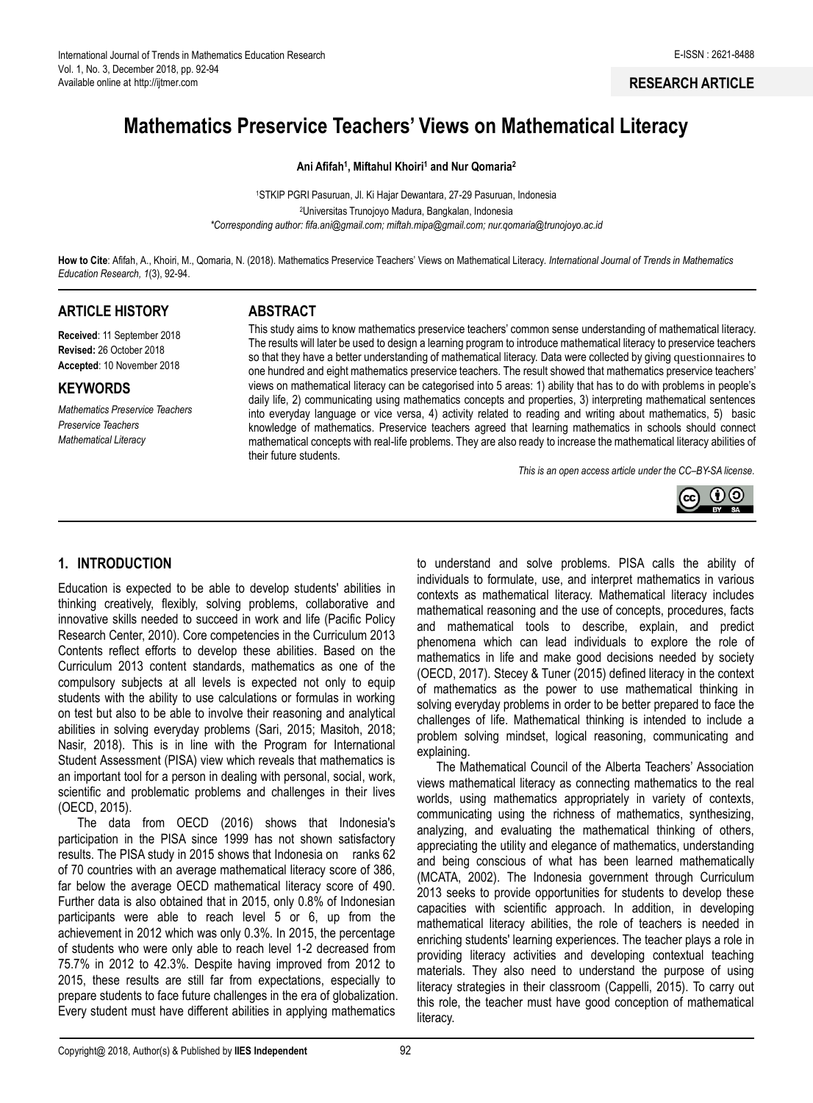#### **RESEARCH ARTICLE**

# **Mathematics Preservice Teachers' Views on Mathematical Literacy**

#### **Ani Afifah<sup>1</sup> , Miftahul Khoiri<sup>1</sup> and Nur Qomaria<sup>2</sup>**

<sup>1</sup>STKIP PGRI Pasuruan, Jl. Ki Hajar Dewantara, 27-29 Pasuruan, Indonesia <sup>2</sup>Universitas Trunojoyo Madura, Bangkalan, Indonesia *\*Corresponding author: [fifa.ani@gmail.com;](mailto:fifa.ani@gmail.com) [miftah.mipa@gmail.com;](mailto:miftah.mipa@gmail.com) nur.qomaria@trunojoyo.ac.id*

**How to Cite**: Afifah, A., Khoiri, M., Qomaria, N. (2018). Mathematics Preservice Teachers' Views on Mathematical Literacy*. International Journal of Trends in Mathematics Education Research, 1*(3), 92-94.

#### **ARTICLE HISTORY**

**Received**: 11 September 2018 **Revised:** 26 October 2018 **Accepted**: 10 November 2018

#### **KEYWORDS**

*Mathematics Preservice Teachers Preservice Teachers Mathematical Literacy*

## **ABSTRACT**

This study aims to know mathematics preservice teachers' common sense understanding of mathematical literacy. The results will later be used to design a learning program to introduce mathematical literacy to preservice teachers so that they have a better understanding of mathematical literacy. Data were collected by giving questionnaires to one hundred and eight mathematics preservice teachers. The result showed that mathematics preservice teachers' views on mathematical literacy can be categorised into 5 areas: 1) ability that has to do with problems in people's daily life, 2) communicating using mathematics concepts and properties, 3) interpreting mathematical sentences into everyday language or vice versa, 4) activity related to reading and writing about mathematics, 5) basic knowledge of mathematics. Preservice teachers agreed that learning mathematics in schools should connect mathematical concepts with real-life problems. They are also ready to increase the mathematical literacy abilities of their future students.

*This is an open access article under the CC–[BY-SA](http://creativecommons.org/licenses/by-sa/4.0/) license*.



## **1. INTRODUCTION**

Education is expected to be able to develop students' abilities in thinking creatively, flexibly, solving problems, collaborative and innovative skills needed to succeed in work and life (Pacific Policy Research Center, 2010). Core competencies in the Curriculum 2013 Contents reflect efforts to develop these abilities. Based on the Curriculum 2013 content standards, mathematics as one of the compulsory subjects at all levels is expected not only to equip students with the ability to use calculations or formulas in working on test but also to be able to involve their reasoning and analytical abilities in solving everyday problems (Sari, 2015; Masitoh, 2018; Nasir, 2018). This is in line with the Program for International Student Assessment (PISA) view which reveals that mathematics is an important tool for a person in dealing with personal, social, work, scientific and problematic problems and challenges in their lives (OECD, 2015).

The data from OECD (2016) shows that Indonesia's participation in the PISA since 1999 has not shown satisfactory results. The PISA study in 2015 shows that Indonesia on ranks 62 of 70 countries with an average mathematical literacy score of 386, far below the average OECD mathematical literacy score of 490. Further data is also obtained that in 2015, only 0.8% of Indonesian participants were able to reach level 5 or 6, up from the achievement in 2012 which was only 0.3%. In 2015, the percentage of students who were only able to reach level 1-2 decreased from 75.7% in 2012 to 42.3%. Despite having improved from 2012 to 2015, these results are still far from expectations, especially to prepare students to face future challenges in the era of globalization. Every student must have different abilities in applying mathematics

to understand and solve problems. PISA calls the ability of individuals to formulate, use, and interpret mathematics in various contexts as mathematical literacy. Mathematical literacy includes mathematical reasoning and the use of concepts, procedures, facts and mathematical tools to describe, explain, and predict phenomena which can lead individuals to explore the role of mathematics in life and make good decisions needed by society (OECD, 2017). Stecey & Tuner (2015) defined literacy in the context of mathematics as the power to use mathematical thinking in solving everyday problems in order to be better prepared to face the challenges of life. Mathematical thinking is intended to include a problem solving mindset, logical reasoning, communicating and explaining.

The Mathematical Council of the Alberta Teachers' Association views mathematical literacy as connecting mathematics to the real worlds, using mathematics appropriately in variety of contexts, communicating using the richness of mathematics, synthesizing, analyzing, and evaluating the mathematical thinking of others, appreciating the utility and elegance of mathematics, understanding and being conscious of what has been learned mathematically (MCATA, 2002). The Indonesia government through Curriculum 2013 seeks to provide opportunities for students to develop these capacities with scientific approach. In addition, in developing mathematical literacy abilities, the role of teachers is needed in enriching students' learning experiences. The teacher plays a role in providing literacy activities and developing contextual teaching materials. They also need to understand the purpose of using literacy strategies in their classroom (Cappelli, 2015). To carry out this role, the teacher must have good conception of mathematical literacy.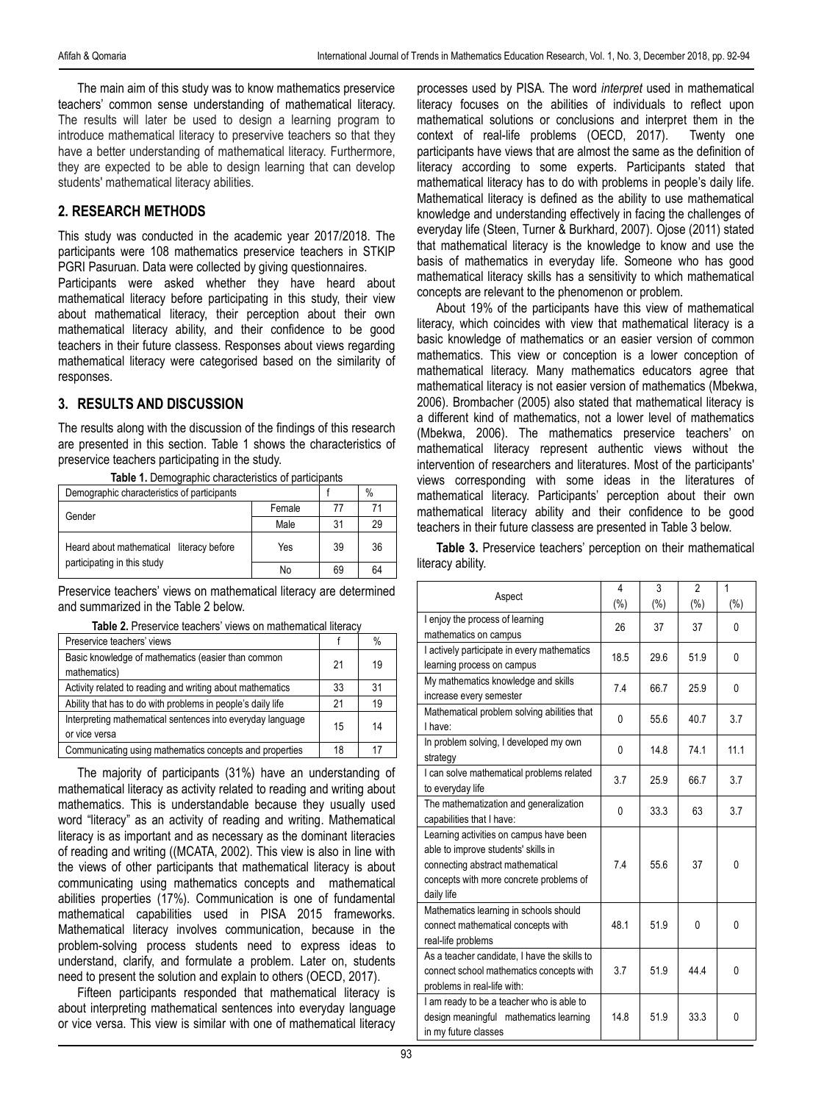The main aim of this study was to know mathematics preservice teachers' common sense understanding of mathematical literacy. The results will later be used to design a learning program to introduce mathematical literacy to preservive teachers so that they have a better understanding of mathematical literacy. Furthermore, they are expected to be able to design learning that can develop students' mathematical literacy abilities.

# **2. RESEARCH METHODS**

This study was conducted in the academic year 2017/2018. The participants were 108 mathematics preservice teachers in STKIP PGRI Pasuruan. Data were collected by giving questionnaires.

Participants were asked whether they have heard about mathematical literacy before participating in this study, their view about mathematical literacy, their perception about their own mathematical literacy ability, and their confidence to be good teachers in their future classess. Responses about views regarding mathematical literacy were categorised based on the similarity of responses.

## **3. RESULTS AND DISCUSSION**

The results along with the discussion of the findings of this research are presented in this section. Table 1 shows the characteristics of preservice teachers participating in the study.

| Demographic characteristics of participants |        |    | $\%$ |
|---------------------------------------------|--------|----|------|
| Gender                                      | Female | 77 | 71   |
|                                             | Male   | 31 | 29   |
| Heard about mathematical literacy before    | Yes    | 39 | 36   |
| participating in this study                 | No     | 69 | 64   |

**Table 1.** Demographic characteristics of participants

Preservice teachers' views on mathematical literacy are determined and summarized in the Table 2 below.

|  | <b>Table 2.</b> Preservice teachers' views on mathematical literacy |  |
|--|---------------------------------------------------------------------|--|
|--|---------------------------------------------------------------------|--|

| Preservice teachers' views                                                  |    | %  |
|-----------------------------------------------------------------------------|----|----|
| Basic knowledge of mathematics (easier than common<br>mathematics)          | 21 | 19 |
| Activity related to reading and writing about mathematics                   | 33 | 31 |
| Ability that has to do with problems in people's daily life                 | 21 | 19 |
| Interpreting mathematical sentences into everyday language<br>or vice versa |    | 14 |
| Communicating using mathematics concepts and properties                     | 18 | 17 |

The majority of participants (31%) have an understanding of mathematical literacy as activity related to reading and writing about mathematics. This is understandable because they usually used word "literacy" as an activity of reading and writing. Mathematical literacy is as important and as necessary as the dominant literacies of reading and writing ((MCATA, 2002). This view is also in line with the views of other participants that mathematical literacy is about communicating using mathematics concepts and mathematical abilities properties (17%). Communication is one of fundamental mathematical capabilities used in PISA 2015 frameworks. Mathematical literacy involves communication, because in the problem-solving process students need to express ideas to understand, clarify, and formulate a problem. Later on, students need to present the solution and explain to others (OECD, 2017).

Fifteen participants responded that mathematical literacy is about interpreting mathematical sentences into everyday language or vice versa. This view is similar with one of mathematical literacy

processes used by PISA. The word *interpret* used in mathematical literacy focuses on the abilities of individuals to reflect upon mathematical solutions or conclusions and interpret them in the context of real-life problems (OECD, 2017). Twenty one participants have views that are almost the same as the definition of literacy according to some experts. Participants stated that mathematical literacy has to do with problems in people's daily life. Mathematical literacy is defined as the ability to use mathematical knowledge and understanding effectively in facing the challenges of everyday life (Steen, Turner & Burkhard, 2007). Ojose (2011) stated that mathematical literacy is the knowledge to know and use the basis of mathematics in everyday life. Someone who has good mathematical literacy skills has a sensitivity to which mathematical concepts are relevant to the phenomenon or problem.

About 19% of the participants have this view of mathematical literacy, which coincides with view that mathematical literacy is a basic knowledge of mathematics or an easier version of common mathematics. This view or conception is a lower conception of mathematical literacy. Many mathematics educators agree that mathematical literacy is not easier version of mathematics (Mbekwa, 2006). Brombacher (2005) also stated that mathematical literacy is a different kind of mathematics, not a lower level of mathematics (Mbekwa, 2006). The mathematics preservice teachers' on mathematical literacy represent authentic views without the intervention of researchers and literatures. Most of the participants' views corresponding with some ideas in the literatures of mathematical literacy. Participants' perception about their own mathematical literacy ability and their confidence to be good teachers in their future classess are presented in Table 3 below.

**Table 3.** Preservice teachers' perception on their mathematical literacy ability.

| Aspect                                                                                                                                                                      | 4<br>$(\% )$ | 3<br>$(\% )$ | $\overline{2}$<br>$(\%)$ | 1<br>$(\%)$ |
|-----------------------------------------------------------------------------------------------------------------------------------------------------------------------------|--------------|--------------|--------------------------|-------------|
| I enjoy the process of learning<br>mathematics on campus                                                                                                                    | 26           | 37           | 37                       | 0           |
| I actively participate in every mathematics<br>learning process on campus                                                                                                   | 18.5         | 29.6         | 51.9                     | 0           |
| My mathematics knowledge and skills<br>increase every semester                                                                                                              | 74           | 66.7         | 25.9                     | $\Omega$    |
| Mathematical problem solving abilities that<br>I have:                                                                                                                      | 0            | 55.6         | 40.7                     | 3.7         |
| In problem solving, I developed my own<br>strategy                                                                                                                          | 0            | 148          | 74.1                     | 11.1        |
| I can solve mathematical problems related<br>to everyday life                                                                                                               | 3.7          | 25.9         | 66.7                     | 3.7         |
| The mathematization and generalization<br>capabilities that I have:                                                                                                         | 0            | 33.3         | 63                       | 3.7         |
| Learning activities on campus have been<br>able to improve students' skills in<br>connecting abstract mathematical<br>concepts with more concrete problems of<br>daily life | 7.4          | 55.6         | 37                       | 0           |
| Mathematics learning in schools should<br>connect mathematical concepts with<br>real-life problems                                                                          | 48.1         | 51.9         | 0                        | 0           |
| As a teacher candidate, I have the skills to<br>connect school mathematics concepts with<br>problems in real-life with:                                                     | 3.7          | 51.9         | 444                      | $\Omega$    |
| I am ready to be a teacher who is able to<br>design meaningful mathematics learning<br>in my future classes                                                                 | 14.8         | 51.9         | 33.3                     | 0           |